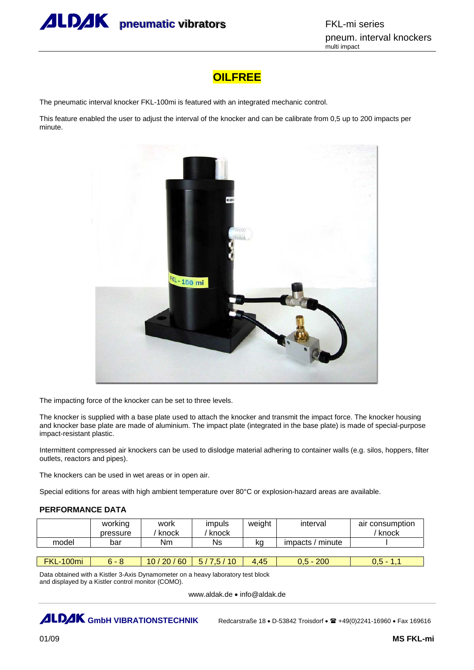

## **OILFREE**

The pneumatic interval knocker FKL-100mi is featured with an integrated mechanic control.

This feature enabled the user to adjust the interval of the knocker and can be calibrate from 0,5 up to 200 impacts per minute.



The impacting force of the knocker can be set to three levels.

The knocker is supplied with a base plate used to attach the knocker and transmit the impact force. The knocker housing and knocker base plate are made of aluminium. The impact plate (integrated in the base plate) is made of special-purpose impact-resistant plastic.

Intermittent compressed air knockers can be used to dislodge material adhering to container walls (e.g. silos, hoppers, filter outlets, reactors and pipes).

The knockers can be used in wet areas or in open air.

Special editions for areas with high ambient temperature over 80°C or explosion-hazard areas are available.

## **PERFORMANCE DATA**

|       | working<br>pressure | work<br>knock | impuls<br>knock | weight | interval            | air consumption<br>knock |
|-------|---------------------|---------------|-----------------|--------|---------------------|--------------------------|
| model | bar                 | Nm            | Ns              | ka     | minute<br>impacts / |                          |

| 100mi<br><b>FKL</b> | <u>h -</u><br>ີ | 60<br>20 <sup>°</sup><br>10 <sub>1</sub> | - -<br>10 <sup>1</sup><br>Б.<br>$\sqrt{2}$<br>$\cdot$ . $\cdot$<br>$\sim$ | 4,45 | 200 |  |
|---------------------|-----------------|------------------------------------------|---------------------------------------------------------------------------|------|-----|--|
|                     |                 |                                          |                                                                           |      |     |  |

Data obtained with a Kistler 3-Axis Dynamometer on a heavy laboratory test block and displayed by a Kistler control monitor (COMO).

www.aldak.de • info@aldak.de